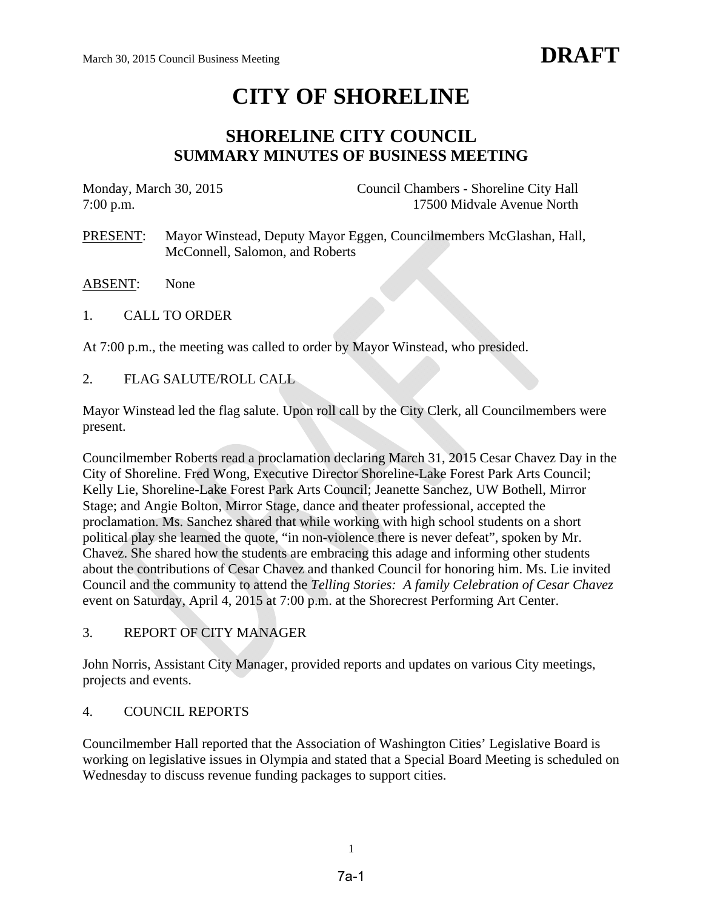# **CITY OF SHORELINE**

# **SHORELINE CITY COUNCIL SUMMARY MINUTES OF BUSINESS MEETING**

| Monday, March 30, 2015 |  | Council Chambers - Shoreline City Hall                              |
|------------------------|--|---------------------------------------------------------------------|
| $7:00$ p.m.            |  | 17500 Midvale Avenue North                                          |
| PRESENT:               |  | Mayor Winstead, Deputy Mayor Eggen, Councilmembers McGlashan, Hall, |

- ABSENT: None
- 1. CALL TO ORDER

At 7:00 p.m., the meeting was called to order by Mayor Winstead, who presided.

McConnell, Salomon, and Roberts

2. FLAG SALUTE/ROLL CALL

Mayor Winstead led the flag salute. Upon roll call by the City Clerk, all Councilmembers were present.

Councilmember Roberts read a proclamation declaring March 31, 2015 Cesar Chavez Day in the City of Shoreline. Fred Wong, Executive Director Shoreline-Lake Forest Park Arts Council; Kelly Lie, Shoreline-Lake Forest Park Arts Council; Jeanette Sanchez, UW Bothell, Mirror Stage; and Angie Bolton, Mirror Stage, dance and theater professional, accepted the proclamation. Ms. Sanchez shared that while working with high school students on a short political play she learned the quote, "in non-violence there is never defeat", spoken by Mr. Chavez. She shared how the students are embracing this adage and informing other students about the contributions of Cesar Chavez and thanked Council for honoring him. Ms. Lie invited Council and the community to attend the *Telling Stories: A family Celebration of Cesar Chavez* event on Saturday, April 4, 2015 at 7:00 p.m. at the Shorecrest Performing Art Center.

# 3. REPORT OF CITY MANAGER

John Norris, Assistant City Manager, provided reports and updates on various City meetings, projects and events.

# 4. COUNCIL REPORTS

Councilmember Hall reported that the Association of Washington Cities' Legislative Board is working on legislative issues in Olympia and stated that a Special Board Meeting is scheduled on Wednesday to discuss revenue funding packages to support cities.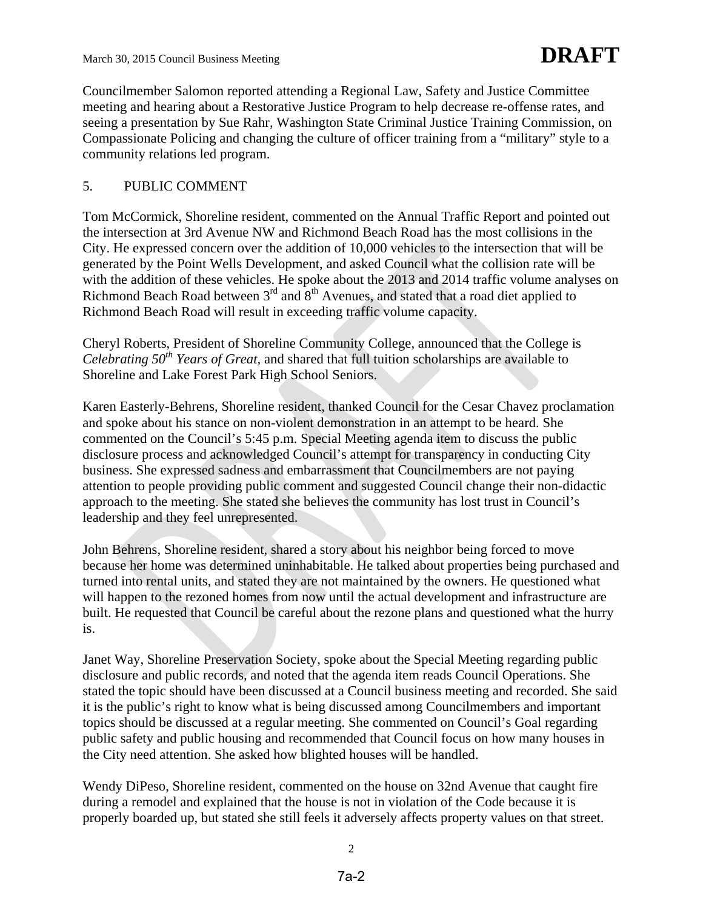Councilmember Salomon reported attending a Regional Law, Safety and Justice Committee meeting and hearing about a Restorative Justice Program to help decrease re-offense rates, and seeing a presentation by Sue Rahr, Washington State Criminal Justice Training Commission, on Compassionate Policing and changing the culture of officer training from a "military" style to a community relations led program.

# 5. PUBLIC COMMENT

Tom McCormick, Shoreline resident, commented on the Annual Traffic Report and pointed out the intersection at 3rd Avenue NW and Richmond Beach Road has the most collisions in the City. He expressed concern over the addition of 10,000 vehicles to the intersection that will be generated by the Point Wells Development, and asked Council what the collision rate will be with the addition of these vehicles. He spoke about the 2013 and 2014 traffic volume analyses on Richmond Beach Road between 3<sup>rd</sup> and 8<sup>th</sup> Avenues, and stated that a road diet applied to Richmond Beach Road will result in exceeding traffic volume capacity.

Cheryl Roberts, President of Shoreline Community College, announced that the College is *Celebrating 50<sup>th</sup> Years of Great,* and shared that full tuition scholarships are available to Shoreline and Lake Forest Park High School Seniors.

Karen Easterly-Behrens, Shoreline resident, thanked Council for the Cesar Chavez proclamation and spoke about his stance on non-violent demonstration in an attempt to be heard. She commented on the Council's 5:45 p.m. Special Meeting agenda item to discuss the public disclosure process and acknowledged Council's attempt for transparency in conducting City business. She expressed sadness and embarrassment that Councilmembers are not paying attention to people providing public comment and suggested Council change their non-didactic approach to the meeting. She stated she believes the community has lost trust in Council's leadership and they feel unrepresented.

John Behrens, Shoreline resident, shared a story about his neighbor being forced to move because her home was determined uninhabitable. He talked about properties being purchased and turned into rental units, and stated they are not maintained by the owners. He questioned what will happen to the rezoned homes from now until the actual development and infrastructure are built. He requested that Council be careful about the rezone plans and questioned what the hurry is.

Janet Way, Shoreline Preservation Society, spoke about the Special Meeting regarding public disclosure and public records, and noted that the agenda item reads Council Operations. She stated the topic should have been discussed at a Council business meeting and recorded. She said it is the public's right to know what is being discussed among Councilmembers and important topics should be discussed at a regular meeting. She commented on Council's Goal regarding public safety and public housing and recommended that Council focus on how many houses in the City need attention. She asked how blighted houses will be handled.

Wendy DiPeso, Shoreline resident, commented on the house on 32nd Avenue that caught fire during a remodel and explained that the house is not in violation of the Code because it is properly boarded up, but stated she still feels it adversely affects property values on that street.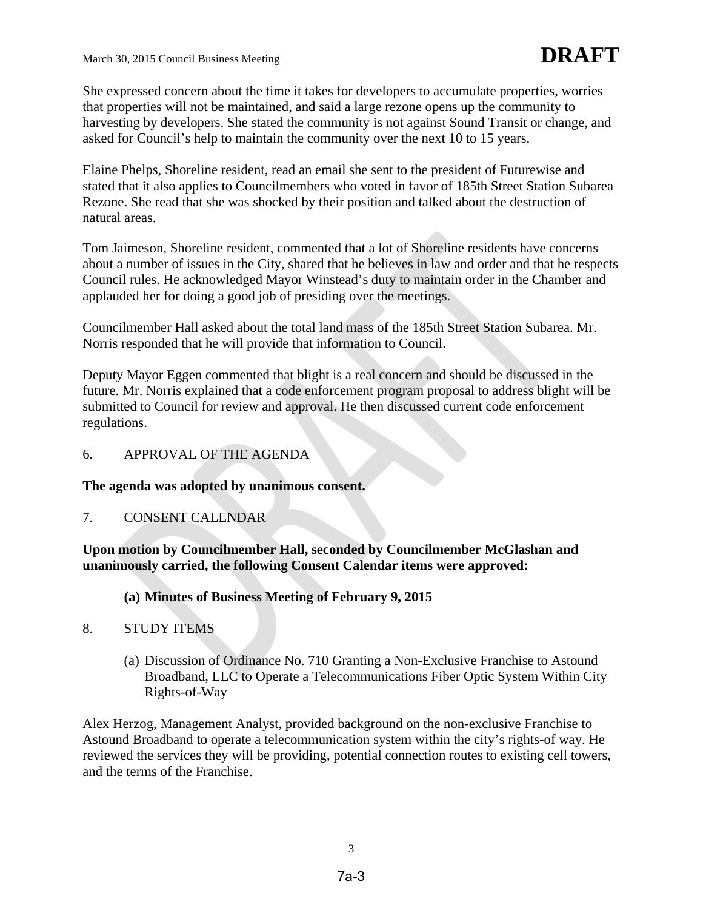She expressed concern about the time it takes for developers to accumulate properties, worries that properties will not be maintained, and said a large rezone opens up the community to harvesting by developers. She stated the community is not against Sound Transit or change, and asked for Council's help to maintain the community over the next 10 to 15 years.

Elaine Phelps, Shoreline resident, read an email she sent to the president of Futurewise and stated that it also applies to Councilmembers who voted in favor of 185th Street Station Subarea Rezone. She read that she was shocked by their position and talked about the destruction of natural areas.

Tom Jaimeson, Shoreline resident, commented that a lot of Shoreline residents have concerns about a number of issues in the City, shared that he believes in law and order and that he respects Council rules. He acknowledged Mayor Winstead's duty to maintain order in the Chamber and applauded her for doing a good job of presiding over the meetings.

Councilmember Hall asked about the total land mass of the 185th Street Station Subarea. Mr. Norris responded that he will provide that information to Council.

Deputy Mayor Eggen commented that blight is a real concern and should be discussed in the future. Mr. Norris explained that a code enforcement program proposal to address blight will be submitted to Council for review and approval. He then discussed current code enforcement regulations.

6. APPROVAL OF THE AGENDA

**The agenda was adopted by unanimous consent.**

7. CONSENT CALENDAR

**Upon motion by Councilmember Hall, seconded by Councilmember McGlashan and unanimously carried, the following Consent Calendar items were approved:** 

# **(a) Minutes of Business Meeting of February 9, 2015**

- 8. STUDY ITEMS
	- (a) Discussion of Ordinance No. 710 Granting a Non-Exclusive Franchise to Astound Broadband, LLC to Operate a Telecommunications Fiber Optic System Within City Rights-of-Way

Alex Herzog, Management Analyst, provided background on the non-exclusive Franchise to Astound Broadband to operate a telecommunication system within the city's rights-of way. He reviewed the services they will be providing, potential connection routes to existing cell towers, and the terms of the Franchise.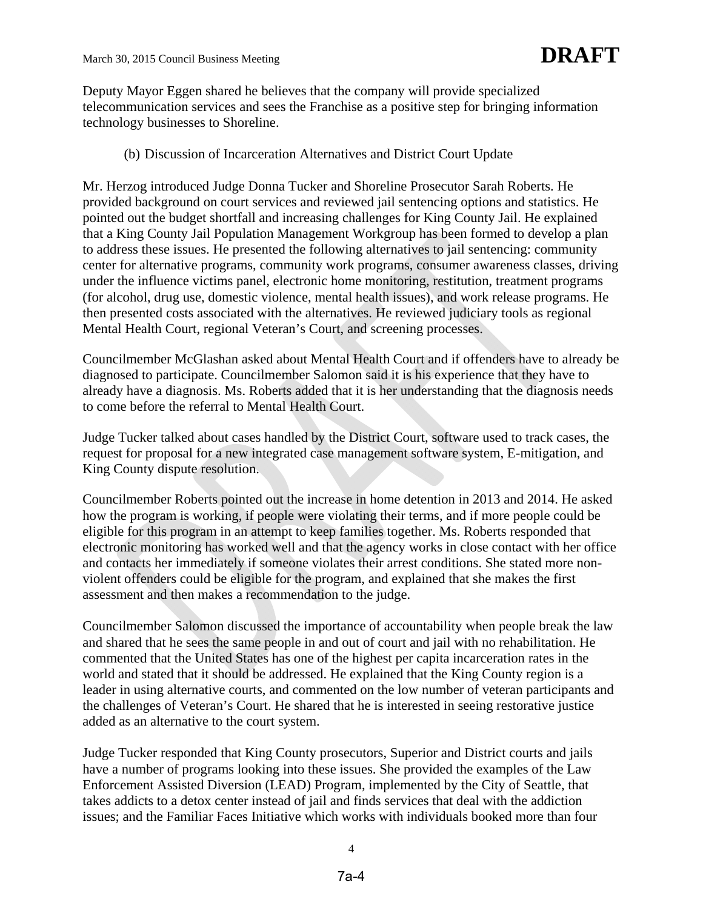Deputy Mayor Eggen shared he believes that the company will provide specialized telecommunication services and sees the Franchise as a positive step for bringing information technology businesses to Shoreline.

#### (b) Discussion of Incarceration Alternatives and District Court Update

Mr. Herzog introduced Judge Donna Tucker and Shoreline Prosecutor Sarah Roberts. He provided background on court services and reviewed jail sentencing options and statistics. He pointed out the budget shortfall and increasing challenges for King County Jail. He explained that a King County Jail Population Management Workgroup has been formed to develop a plan to address these issues. He presented the following alternatives to jail sentencing: community center for alternative programs, community work programs, consumer awareness classes, driving under the influence victims panel, electronic home monitoring, restitution, treatment programs (for alcohol, drug use, domestic violence, mental health issues), and work release programs. He then presented costs associated with the alternatives. He reviewed judiciary tools as regional Mental Health Court, regional Veteran's Court, and screening processes.

Councilmember McGlashan asked about Mental Health Court and if offenders have to already be diagnosed to participate. Councilmember Salomon said it is his experience that they have to already have a diagnosis. Ms. Roberts added that it is her understanding that the diagnosis needs to come before the referral to Mental Health Court.

Judge Tucker talked about cases handled by the District Court, software used to track cases, the request for proposal for a new integrated case management software system, E-mitigation, and King County dispute resolution.

Councilmember Roberts pointed out the increase in home detention in 2013 and 2014. He asked how the program is working, if people were violating their terms, and if more people could be eligible for this program in an attempt to keep families together. Ms. Roberts responded that electronic monitoring has worked well and that the agency works in close contact with her office and contacts her immediately if someone violates their arrest conditions. She stated more nonviolent offenders could be eligible for the program, and explained that she makes the first assessment and then makes a recommendation to the judge.

Councilmember Salomon discussed the importance of accountability when people break the law and shared that he sees the same people in and out of court and jail with no rehabilitation. He commented that the United States has one of the highest per capita incarceration rates in the world and stated that it should be addressed. He explained that the King County region is a leader in using alternative courts, and commented on the low number of veteran participants and the challenges of Veteran's Court. He shared that he is interested in seeing restorative justice added as an alternative to the court system.

Judge Tucker responded that King County prosecutors, Superior and District courts and jails have a number of programs looking into these issues. She provided the examples of the Law Enforcement Assisted Diversion (LEAD) Program, implemented by the City of Seattle, that takes addicts to a detox center instead of jail and finds services that deal with the addiction issues; and the Familiar Faces Initiative which works with individuals booked more than four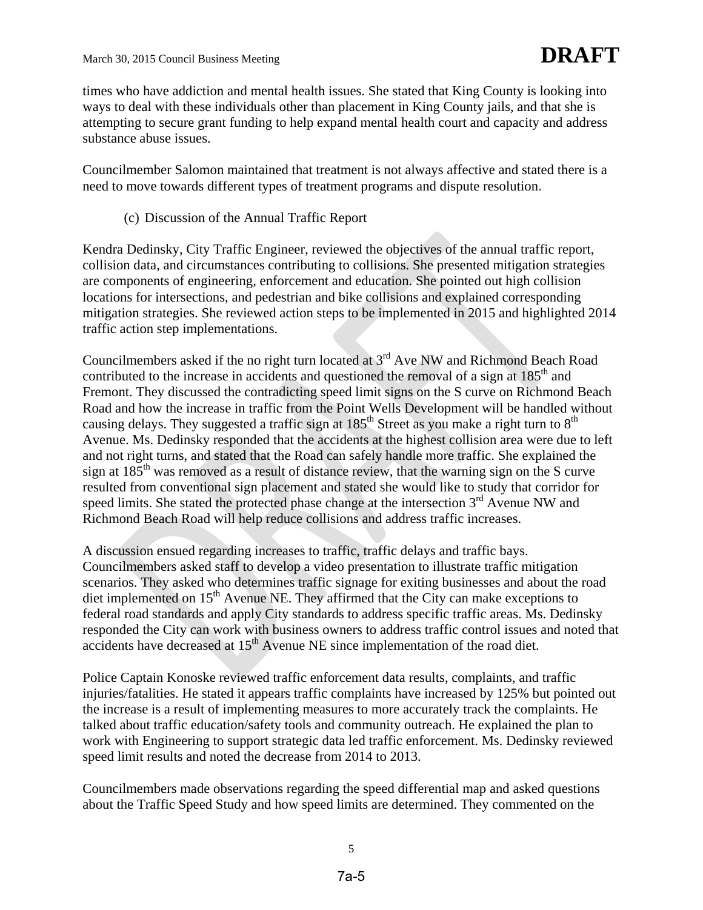times who have addiction and mental health issues. She stated that King County is looking into ways to deal with these individuals other than placement in King County jails, and that she is attempting to secure grant funding to help expand mental health court and capacity and address substance abuse issues.

Councilmember Salomon maintained that treatment is not always affective and stated there is a need to move towards different types of treatment programs and dispute resolution.

(c) Discussion of the Annual Traffic Report

Kendra Dedinsky, City Traffic Engineer, reviewed the objectives of the annual traffic report, collision data, and circumstances contributing to collisions. She presented mitigation strategies are components of engineering, enforcement and education. She pointed out high collision locations for intersections, and pedestrian and bike collisions and explained corresponding mitigation strategies. She reviewed action steps to be implemented in 2015 and highlighted 2014 traffic action step implementations.

Councilmembers asked if the no right turn located at  $3<sup>rd</sup>$  Ave NW and Richmond Beach Road contributed to the increase in accidents and questioned the removal of a sign at 185<sup>th</sup> and Fremont. They discussed the contradicting speed limit signs on the S curve on Richmond Beach Road and how the increase in traffic from the Point Wells Development will be handled without causing delays. They suggested a traffic sign at  $185<sup>th</sup>$  Street as you make a right turn to  $8<sup>th</sup>$ Avenue. Ms. Dedinsky responded that the accidents at the highest collision area were due to left and not right turns, and stated that the Road can safely handle more traffic. She explained the sign at  $185<sup>th</sup>$  was removed as a result of distance review, that the warning sign on the S curve resulted from conventional sign placement and stated she would like to study that corridor for speed limits. She stated the protected phase change at the intersection  $3<sup>rd</sup>$  Avenue NW and Richmond Beach Road will help reduce collisions and address traffic increases.

A discussion ensued regarding increases to traffic, traffic delays and traffic bays. Councilmembers asked staff to develop a video presentation to illustrate traffic mitigation scenarios. They asked who determines traffic signage for exiting businesses and about the road diet implemented on 15<sup>th</sup> Avenue NE. They affirmed that the City can make exceptions to federal road standards and apply City standards to address specific traffic areas. Ms. Dedinsky responded the City can work with business owners to address traffic control issues and noted that accidents have decreased at  $15<sup>th</sup>$  Avenue NE since implementation of the road diet.

Police Captain Konoske reviewed traffic enforcement data results, complaints, and traffic injuries/fatalities. He stated it appears traffic complaints have increased by 125% but pointed out the increase is a result of implementing measures to more accurately track the complaints. He talked about traffic education/safety tools and community outreach. He explained the plan to work with Engineering to support strategic data led traffic enforcement. Ms. Dedinsky reviewed speed limit results and noted the decrease from 2014 to 2013.

Councilmembers made observations regarding the speed differential map and asked questions about the Traffic Speed Study and how speed limits are determined. They commented on the

5